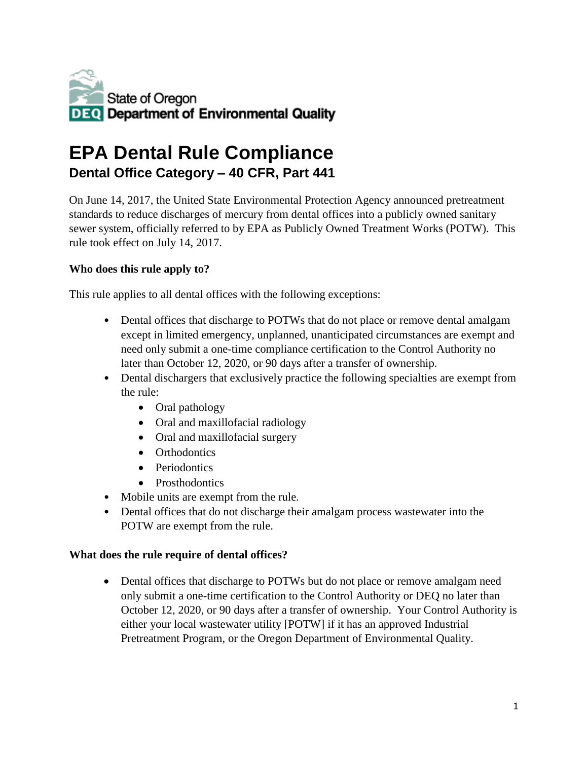

### **EPA Dental Rule Compliance Dental Office Category – 40 CFR, Part 441**

On June 14, 2017, the United State Environmental Protection Agency announced pretreatment standards to reduce discharges of mercury from dental offices into a publicly owned sanitary sewer system, officially referred to by EPA as Publicly Owned Treatment Works (POTW). This rule took effect on July 14, 2017.

### **Who does this rule apply to?**

This rule applies to all dental offices with the following exceptions:

- Dental offices that discharge to POTWs that do not place or remove dental amalgam except in limited emergency, unplanned, unanticipated circumstances are exempt and need only submit a one-time compliance certification to the Control Authority no later than October 12, 2020, or 90 days after a transfer of ownership.
- Dental dischargers that exclusively practice the following specialties are exempt from the rule:
	- Oral pathology
	- Oral and maxillofacial radiology
	- Oral and maxillofacial surgery
	- Orthodontics
	- Periodontics
	- Prosthodontics
- Mobile units are exempt from the rule.
- Dental offices that do not discharge their amalgam process wastewater into the POTW are exempt from the rule.

#### **What does the rule require of dental offices?**

• Dental offices that discharge to POTWs but do not place or remove amalgam need only submit a one-time certification to the Control Authority or DEQ no later than October 12, 2020, or 90 days after a transfer of ownership. Your Control Authority is either your local wastewater utility [POTW] if it has an approved Industrial Pretreatment Program, or the Oregon Department of Environmental Quality.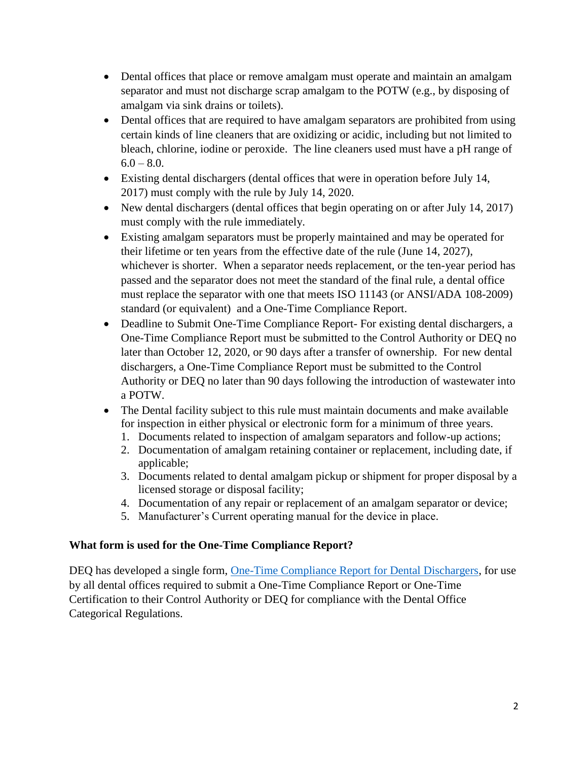- Dental offices that place or remove amalgam must operate and maintain an amalgam separator and must not discharge scrap amalgam to the POTW (e.g., by disposing of amalgam via sink drains or toilets).
- Dental offices that are required to have amalgam separators are prohibited from using certain kinds of line cleaners that are oxidizing or acidic, including but not limited to bleach, chlorine, iodine or peroxide. The line cleaners used must have a pH range of  $6.0 - 8.0.$
- Existing dental dischargers (dental offices that were in operation before July 14, 2017) must comply with the rule by July 14, 2020.
- New dental dischargers (dental offices that begin operating on or after July 14, 2017) must comply with the rule immediately.
- Existing amalgam separators must be properly maintained and may be operated for their lifetime or ten years from the effective date of the rule (June 14, 2027), whichever is shorter. When a separator needs replacement, or the ten-year period has passed and the separator does not meet the standard of the final rule, a dental office must replace the separator with one that meets ISO 11143 (or ANSI/ADA 108-2009) standard (or equivalent) and a One-Time Compliance Report.
- Deadline to Submit One-Time Compliance Report- For existing dental dischargers, a One-Time Compliance Report must be submitted to the Control Authority or DEQ no later than October 12, 2020, or 90 days after a transfer of ownership. For new dental dischargers, a One-Time Compliance Report must be submitted to the Control Authority or DEQ no later than 90 days following the introduction of wastewater into a POTW.
- The Dental facility subject to this rule must maintain documents and make available for inspection in either physical or electronic form for a minimum of three years.
	- 1. Documents related to inspection of amalgam separators and follow-up actions;
	- 2. Documentation of amalgam retaining container or replacement, including date, if applicable;
	- 3. Documents related to dental amalgam pickup or shipment for proper disposal by a licensed storage or disposal facility;
	- 4. Documentation of any repair or replacement of an amalgam separator or device;
	- 5. Manufacturer's Current operating manual for the device in place.

#### **What form is used for the One-Time Compliance Report?**

DEQ has developed a single form, [One-Time Compliance Report for Dental Dischargers,](https://www.oregon.gov/deq/FilterDocs/wqpindCompDental.pdf) for use by all dental offices required to submit a One-Time Compliance Report or One-Time Certification to their Control Authority or DEQ for compliance with the Dental Office Categorical Regulations.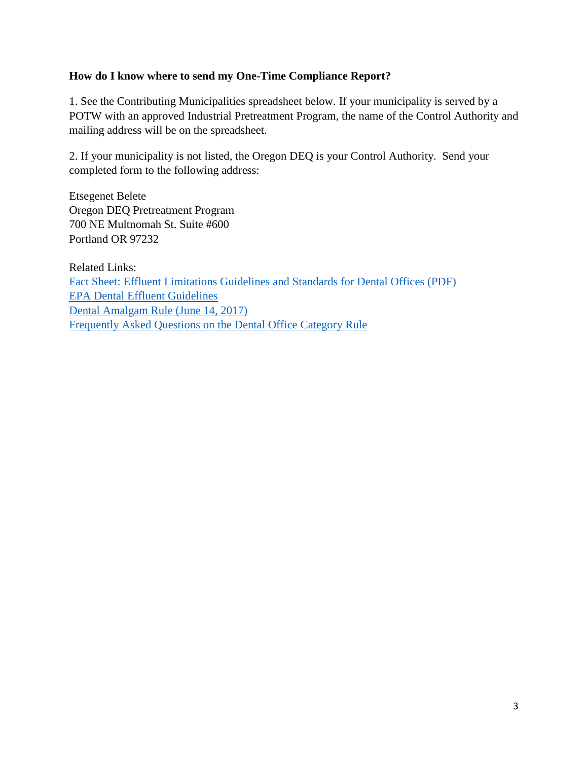#### **How do I know where to send my One-Time Compliance Report?**

1. See the [Contributing Municipalities spreadsheet](http://www.michigan.gov/documents/deq/wrd-ipp-municipalities-potws_601040_7.xlsx) below. If your municipality is served by a POTW with an approved Industrial Pretreatment Program, the name of the Control Authority and mailing address will be on the spreadsheet.

2. If your municipality is not listed, the Oregon DEQ is your Control Authority. Send your completed form to the following address:

Etsegenet Belete Oregon DEQ Pretreatment Program 700 NE Multnomah St. Suite #600 Portland OR 97232

Related Links: [Fact Sheet: Effluent Limitations Guidelines and Standards for Dental Offices \(PDF\)](https://www.epa.gov/sites/production/files/2016-12/documents/dental-elg_final_fact-sheet_12-2016.pdf) [EPA Dental Effluent Guidelines](https://www.epa.gov/eg/dental-effluent-guidelines) [Dental Amalgam Rule \(June 14, 2017\)](https://www.ecfr.gov/cgi-bin/text-idx?mc=true&node=pt40.32.441&rgn=div5) [Frequently Asked Questions on the Dental Office Category Rule](https://www.epa.gov/sites/production/files/2017-12/documents/dental-office-category_frequent-questions_nov-2017.pdf)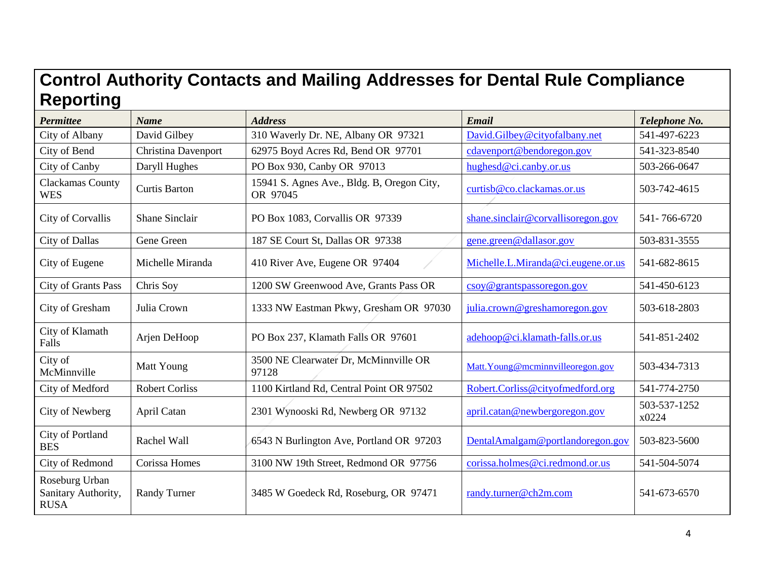# **Control Authority Contacts and Mailing Addresses for Dental Rule Compliance Reporting**

| <b>Permittee</b>                                     | <b>Name</b>                | <b>Address</b>                                         | <b>Email</b>                       | Telephone No.         |
|------------------------------------------------------|----------------------------|--------------------------------------------------------|------------------------------------|-----------------------|
| City of Albany                                       | David Gilbey               | 310 Waverly Dr. NE, Albany OR 97321                    | David.Gilbey@cityofalbany.net      | 541-497-6223          |
| City of Bend                                         | <b>Christina Davenport</b> | 62975 Boyd Acres Rd, Bend OR 97701                     | cdavenport@bendoregon.gov          | 541-323-8540          |
| City of Canby                                        | Daryll Hughes              | PO Box 930, Canby OR 97013                             | hughesd@ci.canby.or.us             | 503-266-0647          |
| Clackamas County<br><b>WES</b>                       | <b>Curtis Barton</b>       | 15941 S. Agnes Ave., Bldg. B, Oregon City,<br>OR 97045 | curtisb@co.clackamas.or.us         | 503-742-4615          |
| City of Corvallis                                    | <b>Shane Sinclair</b>      | PO Box 1083, Corvallis OR 97339                        | shane.sinclair@corvallisoregon.gov | 541-766-6720          |
| City of Dallas                                       | Gene Green                 | 187 SE Court St, Dallas OR 97338                       | gene.green@dallasor.gov            | 503-831-3555          |
| City of Eugene                                       | Michelle Miranda           | 410 River Ave, Eugene OR 97404                         | Michelle.L.Miranda@ci.eugene.or.us | 541-682-8615          |
| City of Grants Pass                                  | Chris Soy                  | 1200 SW Greenwood Ave, Grants Pass OR                  | $\cos 9$ grantspassor egon.gov     | 541-450-6123          |
| City of Gresham                                      | Julia Crown                | 1333 NW Eastman Pkwy, Gresham OR 97030                 | julia.crown@greshamoregon.gov      | 503-618-2803          |
| City of Klamath<br>Falls                             | Arjen DeHoop               | PO Box 237, Klamath Falls OR 97601                     | adehoop@ci.klamath-falls.or.us     | 541-851-2402          |
| City of<br>McMinnville                               | Matt Young                 | 3500 NE Clearwater Dr, McMinnville OR<br>97128         | Matt. Young@mcminnvilleoregon.gov  | 503-434-7313          |
| City of Medford                                      | <b>Robert Corliss</b>      | 1100 Kirtland Rd, Central Point OR 97502               | Robert.Corliss@cityofmedford.org   | 541-774-2750          |
| City of Newberg                                      | April Catan                | 2301 Wynooski Rd, Newberg OR 97132                     | april.catan@newbergoregon.gov      | 503-537-1252<br>x0224 |
| City of Portland<br><b>BES</b>                       | Rachel Wall                | 6543 N Burlington Ave, Portland OR 97203               | DentalAmalgam@portlandoregon.gov   | 503-823-5600          |
| City of Redmond                                      | Corissa Homes              | 3100 NW 19th Street, Redmond OR 97756                  | corissa.holmes@ci.redmond.or.us    | 541-504-5074          |
| Roseburg Urban<br>Sanitary Authority,<br><b>RUSA</b> | <b>Randy Turner</b>        | 3485 W Goedeck Rd, Roseburg, OR 97471                  | randy.turner@ch2m.com              | 541-673-6570          |